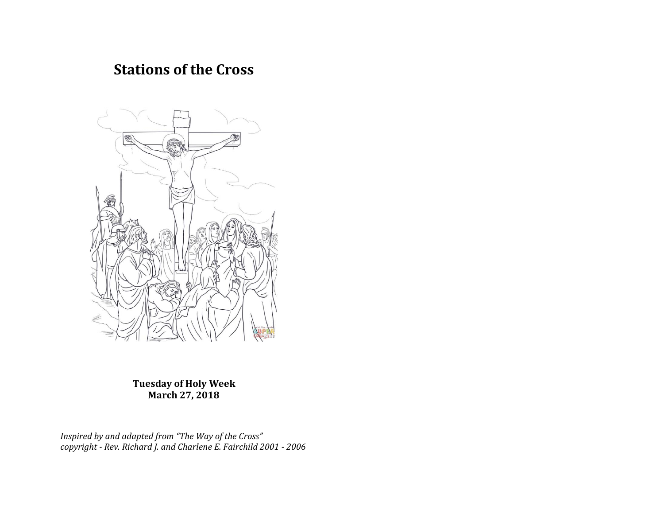# **Stations of the Cross**



**Tuesday of Holy Week March 27, 2018**

*Inspired by and adapted from "The Way of the Cross" copyright - Rev. Richard J. and Charlene E. Fairchild 2001 - 2006*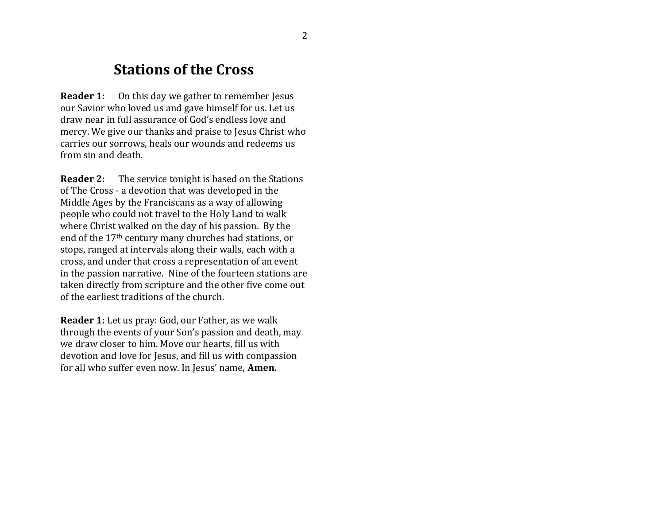# **Stations of the Cross**

**Reader 1:** On this day we gather to remember Jesus our Savior who loved us and gave himself for us. Let us draw near in full assurance of God's endless love and mercy. We give our thanks and praise to Jesus Christ who carries our sorrows, heals our wounds and redeems us from sin and death.

**Reader 2:** The service tonight is based on the Stations of The Cross - a devotion that was developed in the Middle Ages by the Franciscans as a way of allowing people who could not travel to the Holy Land to walk where Christ walked on the day of his passion. By the end of the 17th century many churches had stations, or stops, ranged at intervals along their walls, each with a cross, and under that cross a representation of an event in the passion narrative. Nine of the fourteen stations are taken directly from scripture and the other five come out of the earliest traditions of the church.

**Reader 1:** Let us pray: God, our Father, as we walk through the events of your Son's passion and death, may we draw closer to him. Move our hearts, fill us with devotion and love for Jesus, and fill us with compassion for all who suffer even now. In Jesus' name, **Amen.**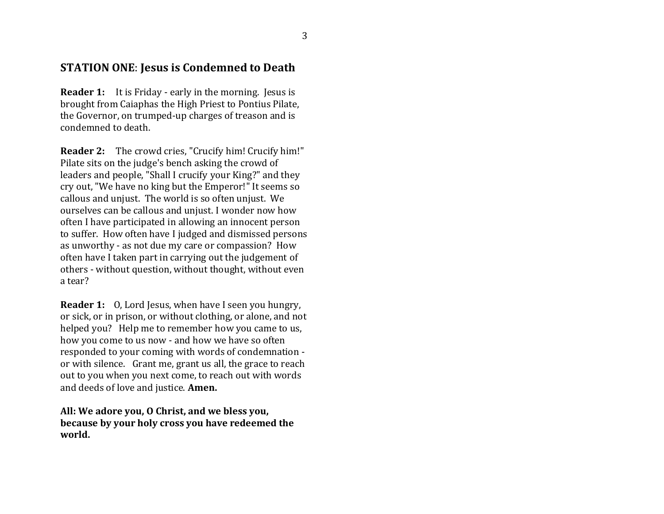#### **STATION ONE**: **Jesus is Condemned to Death**

**Reader 1:** It is Friday - early in the morning. Jesus is brought from Caiaphas the High Priest to Pontius Pilate, the Governor, on trumped-up charges of treason and is condemned to death.

**Reader 2:** The crowd cries, "Crucify him! Crucify him!" Pilate sits on the judge's bench asking the crowd of leaders and people, "Shall I crucify your King?" and they cry out, "We have no king but the Emperor!" It seems so callous and unjust. The world is so often unjust. We ourselves can be callous and unjust. I wonder now how often I have participated in allowing an innocent person to suffer. How often have I judged and dismissed persons as unworthy - as not due my care or compassion? How often have I taken part in carrying out the judgement of others - without question, without thought, without even a tear?

**Reader 1:** 0, Lord Jesus, when have I seen you hungry, or sick, or in prison, or without clothing, or alone, and not helped you? Help me to remember how you came to us, how you come to us now - and how we have so often responded to your coming with words of condemnation or with silence. Grant me, grant us all, the grace to reach out to you when you next come, to reach out with words and deeds of love and justice. **Amen.**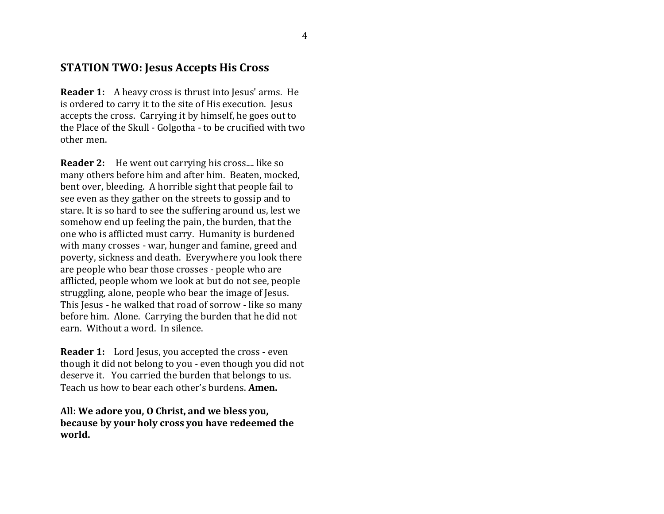#### **STATION TWO: Jesus Accepts His Cross**

**Reader 1:** A heavy cross is thrust into Jesus' arms. He is ordered to carry it to the site of His execution. Jesus accepts the cross. Carrying it by himself, he goes out to the Place of the Skull - Golgotha - to be crucified with two other men.

**Reader 2:** He went out carrying his cross.... like so many others before him and after him. Beaten, mocked, bent over, bleeding. A horrible sight that people fail to see even as they gather on the streets to gossip and to stare. It is so hard to see the suffering around us, lest we somehow end up feeling the pain, the burden, that the one who is afflicted must carry. Humanity is burdened with many crosses - war, hunger and famine, greed and poverty, sickness and death. Everywhere you look there are people who bear those crosses - people who are afflicted, people whom we look at but do not see, people struggling, alone, people who bear the image of Jesus. This Jesus - he walked that road of sorrow - like so many before him. Alone. Carrying the burden that he did not earn. Without a word. In silence.

**Reader 1:** Lord Jesus, you accepted the cross - even though it did not belong to you - even though you did not deserve it. You carried the burden that belongs to us. Teach us how to bear each other's burdens. **Amen.**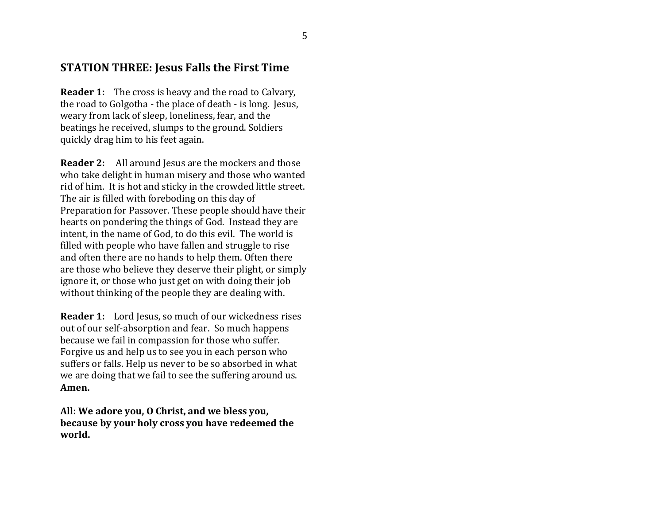#### **STATION THREE: Jesus Falls the First Time**

**Reader 1:** The cross is heavy and the road to Calvary, the road to Golgotha - the place of death - is long. Jesus, weary from lack of sleep, loneliness, fear, and the beatings he received, slumps to the ground. Soldiers quickly drag him to his feet again.

**Reader 2:** All around Jesus are the mockers and those who take delight in human misery and those who wanted rid of him. It is hot and sticky in the crowded little street. The air is filled with foreboding on this day of Preparation for Passover. These people should have their hearts on pondering the things of God. Instead they are intent, in the name of God, to do this evil. The world is filled with people who have fallen and struggle to rise and often there are no hands to help them. Often there are those who believe they deserve their plight, or simply ignore it, or those who just get on with doing their job without thinking of the people they are dealing with.

**Reader 1:** Lord Jesus, so much of our wickedness rises out of our self-absorption and fear. So much happens because we fail in compassion for those who suffer. Forgive us and help us to see you in each person who suffers or falls. Help us never to be so absorbed in what we are doing that we fail to see the suffering around us. **Amen.**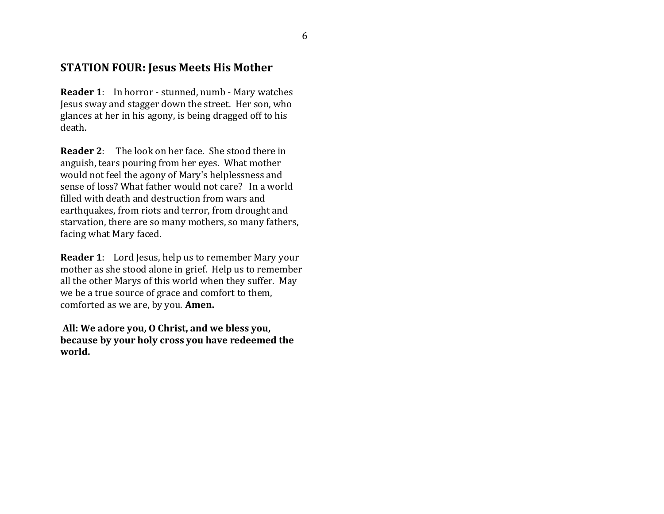#### **STATION FOUR: Jesus Meets His Mother**

**Reader 1**: In horror - stunned, numb - Mary watches Jesus sway and stagger down the street. Her son, who glances at her in his agony, is being dragged off to his death.

**Reader 2**: The look on her face. She stood there in anguish, tears pouring from her eyes. What mother would not feel the agony of Mary's helplessness and sense of loss? What father would not care? In a world filled with death and destruction from wars and earthquakes, from riots and terror, from drought and starvation, there are so many mothers, so many fathers, facing what Mary faced.

**Reader 1**: Lord Jesus, help us to remember Mary your mother as she stood alone in grief. Help us to remember all the other Marys of this world when they suffer. May we be a true source of grace and comfort to them, comforted as we are, by you. **Amen.**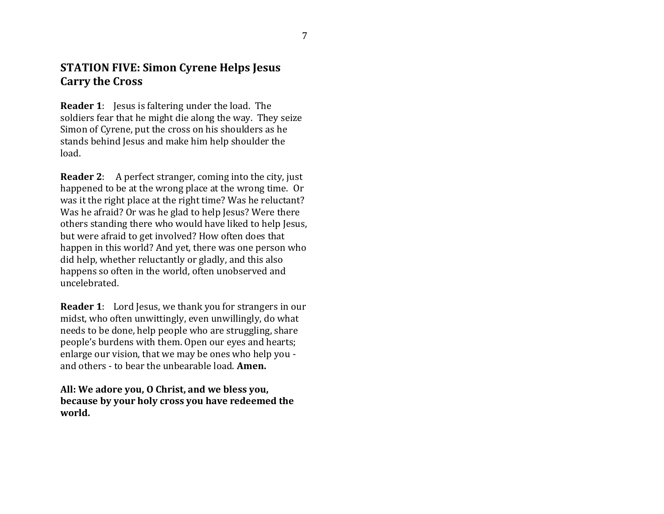## **STATION FIVE: Simon Cyrene Helps Jesus Carry the Cross**

**Reader 1**: Jesus is faltering under the load. The soldiers fear that he might die along the way. They seize Simon of Cyrene, put the cross on his shoulders as he stands behind Jesus and make him help shoulder the load.

**Reader 2**: A perfect stranger, coming into the city, just happened to be at the wrong place at the wrong time. Or was it the right place at the right time? Was he reluctant? Was he afraid? Or was he glad to help Jesus? Were there others standing there who would have liked to help Jesus, but were afraid to get involved? How often does that happen in this world? And yet, there was one person who did help, whether reluctantly or gladly, and this also happens so often in the world, often unobserved and uncelebrated.

**Reader 1**: Lord Jesus, we thank you for strangers in our midst, who often unwittingly, even unwillingly, do what needs to be done, help people who are struggling, share people's burdens with them. Open our eyes and hearts; enlarge our vision, that we may be ones who help you and others - to bear the unbearable load. **Amen.**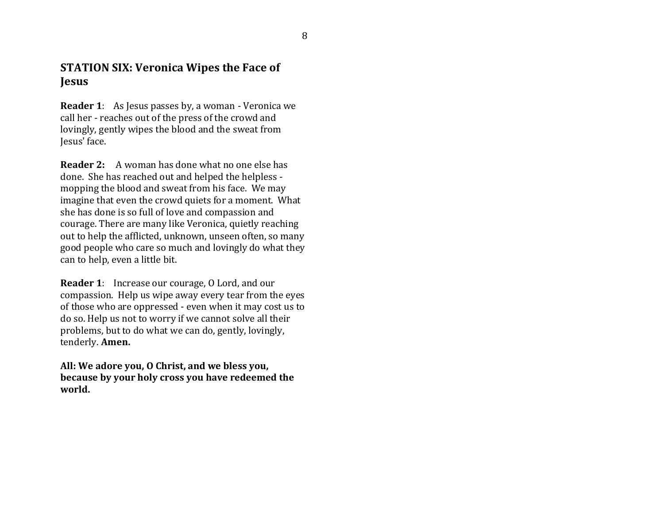### **STATION SIX: Veronica Wipes the Face of Jesus**

**Reader 1**: As Jesus passes by, a woman - Veronica we call her - reaches out of the press of the crowd and lovingly, gently wipes the blood and the sweat from Jesus' face.

**Reader 2:** A woman has done what no one else has done. She has reached out and helped the helpless mopping the blood and sweat from his face. We may imagine that even the crowd quiets for a moment. What she has done is so full of love and compassion and courage. There are many like Veronica, quietly reaching out to help the afflicted, unknown, unseen often, so many good people who care so much and lovingly do what they can to help, even a little bit.

**Reader 1**: Increase our courage, O Lord, and our compassion. Help us wipe away every tear from the eyes of those who are oppressed - even when it may cost us to do so. Help us not to worry if we cannot solve all their problems, but to do what we can do, gently, lovingly, tenderly. **Amen.**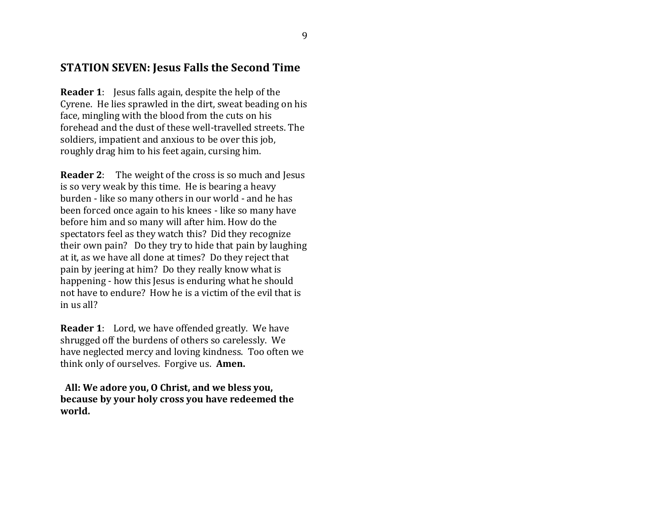#### **STATION SEVEN: Jesus Falls the Second Time**

**Reader 1**: Jesus falls again, despite the help of the Cyrene. He lies sprawled in the dirt, sweat beading on his face, mingling with the blood from the cuts on his forehead and the dust of these well-travelled streets. The soldiers, impatient and anxious to be over this job, roughly drag him to his feet again, cursing him.

**Reader 2**: The weight of the cross is so much and Jesus is so very weak by this time. He is bearing a heavy burden - like so many others in our world - and he has been forced once again to his knees - like so many have before him and so many will after him. How do the spectators feel as they watch this? Did they recognize their own pain? Do they try to hide that pain by laughing at it, as we have all done at times? Do they reject that pain by jeering at him? Do they really know what is happening - how this Jesus is enduring what he should not have to endure? How he is a victim of the evil that is in us all?

**Reader 1**: Lord, we have offended greatly. We have shrugged off the burdens of others so carelessly. We have neglected mercy and loving kindness. Too often we think only of ourselves. Forgive us. **Amen.**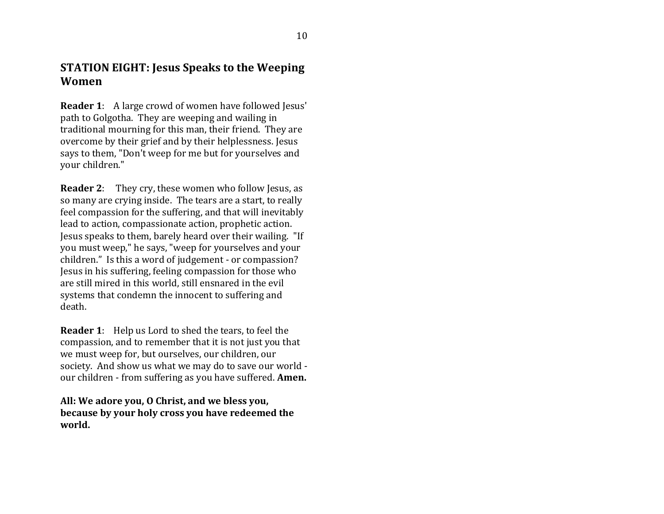### **STATION EIGHT: Jesus Speaks to the Weeping Women**

**Reader 1:** A large crowd of women have followed Jesus' path to Golgotha. They are weeping and wailing in traditional mourning for this man, their friend. They are overcome by their grief and by their helplessness. Jesus says to them, "Don't weep for me but for yourselves and your children."

**Reader 2:** They cry, these women who follow Jesus, as so many are crying inside. The tears are a start, to really feel compassion for the suffering, and that will inevitably lead to action, compassionate action, prophetic action. Jesus speaks to them, barely heard over their wailing. "If you must weep," he says, "weep for yourselves and your children." Is this a word of judgement - or compassion? Jesus in his suffering, feeling compassion for those who are still mired in this world, still ensnared in the evil systems that condemn the innocent to suffering and death.

**Reader 1**: Help us Lord to shed the tears, to feel the compassion, and to remember that it is not just you that we must weep for, but ourselves, our children, our society. And show us what we may do to save our world our children - from suffering as you have suffered. **Amen.**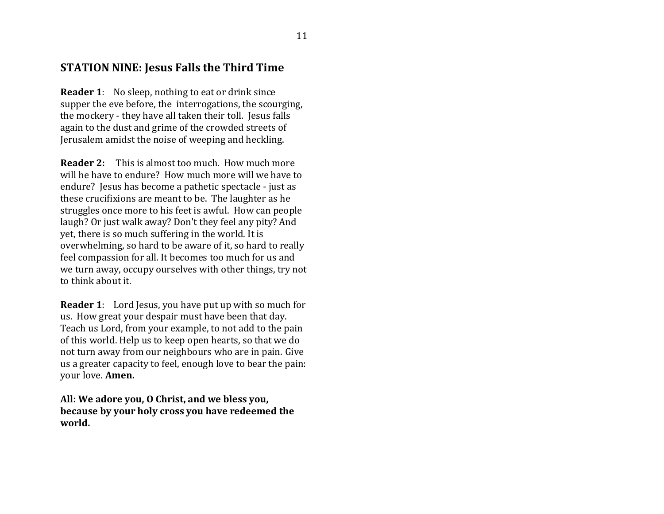#### **STATION NINE: Jesus Falls the Third Time**

**Reader 1**: No sleep, nothing to eat or drink since supper the eve before, the interrogations, the scourging, the mockery - they have all taken their toll. Jesus falls again to the dust and grime of the crowded streets of Jerusalem amidst the noise of weeping and heckling.

**Reader 2:** This is almost too much. How much more will he have to endure? How much more will we have to endure? Jesus has become a pathetic spectacle - just as these crucifixions are meant to be. The laughter as he struggles once more to his feet is awful. How can people laugh? Or just walk away? Don't they feel any pity? And yet, there is so much suffering in the world. It is overwhelming, so hard to be aware of it, so hard to really feel compassion for all. It becomes too much for us and we turn away, occupy ourselves with other things, try not to think about it.

**Reader 1:** Lord Jesus, you have put up with so much for us. How great your despair must have been that day. Teach us Lord, from your example, to not add to the pain of this world. Help us to keep open hearts, so that we do not turn away from our neighbours who are in pain. Give us a greater capacity to feel, enough love to bear the pain: your love. **Amen.**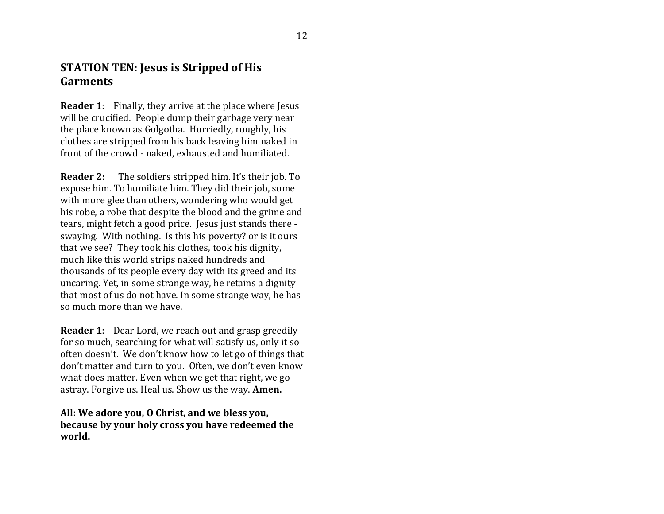#### **STATION TEN: Jesus is Stripped of His Garments**

**Reader 1:** Finally, they arrive at the place where Jesus will be crucified. People dump their garbage very near the place known as Golgotha. Hurriedly, roughly, his clothes are stripped from his back leaving him naked in front of the crowd - naked, exhausted and humiliated.

**Reader 2:** The soldiers stripped him. It's their job. To expose him. To humiliate him. They did their job, some with more glee than others, wondering who would get his robe, a robe that despite the blood and the grime and tears, might fetch a good price. Jesus just stands there swaying. With nothing. Is this his poverty? or is it ours that we see? They took his clothes, took his dignity, much like this world strips naked hundreds and thousands of its people every day with its greed and its uncaring. Yet, in some strange way, he retains a dignity that most of us do not have. In some strange way, he has so much more than we have.

**Reader 1**: Dear Lord, we reach out and grasp greedily for so much, searching for what will satisfy us, only it so often doesn't. We don't know how to let go of things that don't matter and turn to you. Often, we don't even know what does matter. Even when we get that right, we go astray. Forgive us. Heal us. Show us the way. **Amen.**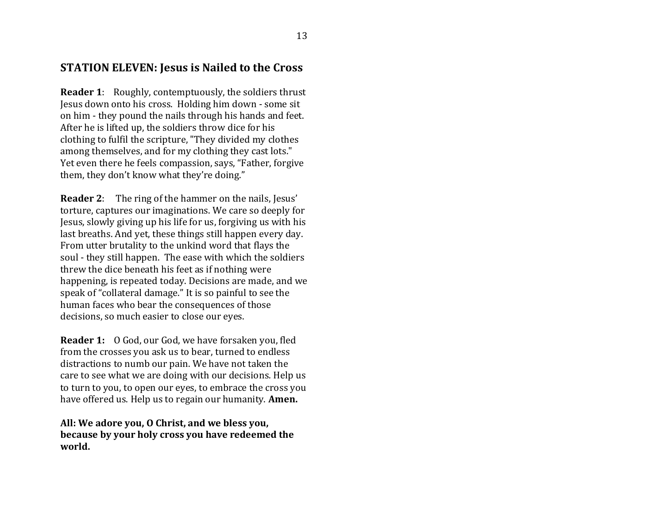#### **STATION ELEVEN: Jesus is Nailed to the Cross**

**Reader 1**: Roughly, contemptuously, the soldiers thrust Jesus down onto his cross. Holding him down - some sit on him - they pound the nails through his hands and feet. After he is lifted up, the soldiers throw dice for his clothing to fulfil the scripture, "They divided my clothes among themselves, and for my clothing they cast lots." Yet even there he feels compassion, says, "Father, forgive them, they don't know what they're doing."

**Reader 2**: The ring of the hammer on the nails, Jesus' torture, captures our imaginations. We care so deeply for Jesus, slowly giving up his life for us, forgiving us with his last breaths. And yet, these things still happen every day. From utter brutality to the unkind word that flays the soul - they still happen. The ease with which the soldiers threw the dice beneath his feet as if nothing were happening, is repeated today. Decisions are made, and we speak of "collateral damage." It is so painful to see the human faces who bear the consequences of those decisions, so much easier to close our eyes.

**Reader 1:** O God, our God, we have forsaken you, fled from the crosses you ask us to bear, turned to endless distractions to numb our pain. We have not taken the care to see what we are doing with our decisions. Help us to turn to you, to open our eyes, to embrace the cross you have offered us. Help us to regain our humanity. **Amen.**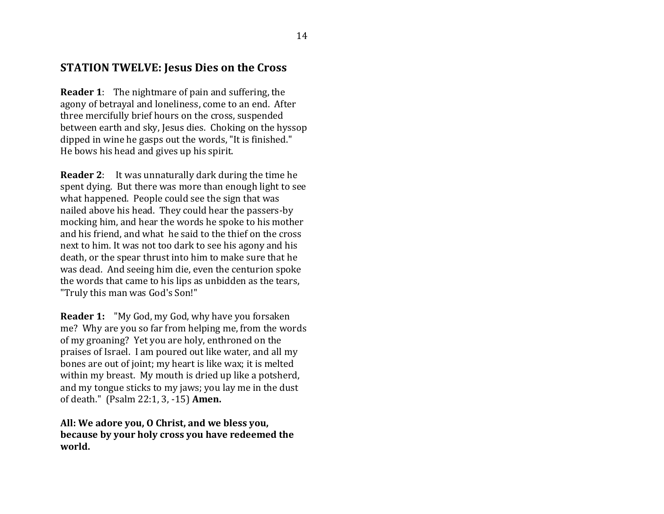#### **STATION TWELVE: Jesus Dies on the Cross**

**Reader 1**: The nightmare of pain and suffering, the agony of betrayal and loneliness, come to an end. After three mercifully brief hours on the cross, suspended between earth and sky, Jesus dies. Choking on the hyssop dipped in wine he gasps out the words, "It is finished." He bows his head and gives up his spirit.

**Reader 2**: It was unnaturally dark during the time he spent dying. But there was more than enough light to see what happened. People could see the sign that was nailed above his head. They could hear the passers-by mocking him, and hear the words he spoke to his mother and his friend, and what he said to the thief on the cross next to him. It was not too dark to see his agony and his death, or the spear thrust into him to make sure that he was dead. And seeing him die, even the centurion spoke the words that came to his lips as unbidden as the tears, "Truly this man was God's Son!"

**Reader 1:** "My God, my God, why have you forsaken me? Why are you so far from helping me, from the words of my groaning? Yet you are holy, enthroned on the praises of Israel. I am poured out like water, and all my bones are out of joint; my heart is like wax; it is melted within my breast. My mouth is dried up like a potsherd, and my tongue sticks to my jaws; you lay me in the dust of death." (Psalm 22:1, 3, -15) **Amen.**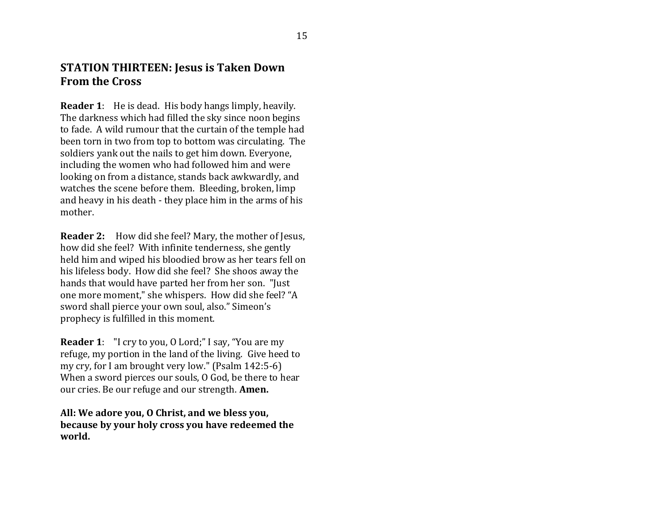#### **STATION THIRTEEN: Jesus is Taken Down From the Cross**

**Reader 1**: He is dead. His body hangs limply, heavily. The darkness which had filled the sky since noon begins to fade. A wild rumour that the curtain of the temple had been torn in two from top to bottom was circulating. The soldiers yank out the nails to get him down. Everyone, including the women who had followed him and were looking on from a distance, stands back awkwardly, and watches the scene before them. Bleeding, broken, limp and heavy in his death - they place him in the arms of his mother.

**Reader 2:** How did she feel? Mary, the mother of Jesus, how did she feel? With infinite tenderness, she gently held him and wiped his bloodied brow as her tears fell on his lifeless body. How did she feel? She shoos away the hands that would have parted her from her son. "Just one more moment," she whispers. How did she feel? "A sword shall pierce your own soul, also." Simeon's prophecy is fulfilled in this moment.

**Reader 1**: "I cry to you, O Lord;" I say, "You are my refuge, my portion in the land of the living. Give heed to my cry, for I am brought very low." (Psalm 142:5-6) When a sword pierces our souls, O God, be there to hear our cries. Be our refuge and our strength. **Amen.**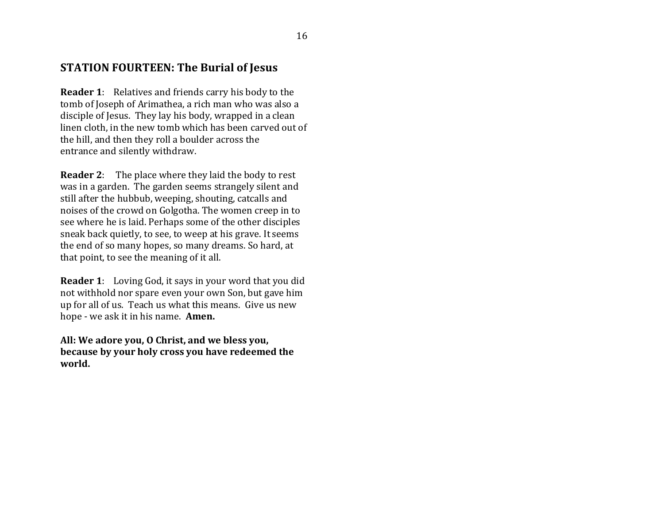#### **STATION FOURTEEN: The Burial of Jesus**

**Reader 1**: Relatives and friends carry his body to the tomb of Joseph of Arimathea, a rich man who was also a disciple of Jesus. They lay his body, wrapped in a clean linen cloth, in the new tomb which has been carved out of the hill, and then they roll a boulder across the entrance and silently withdraw.

**Reader 2**: The place where they laid the body to rest was in a garden. The garden seems strangely silent and still after the hubbub, weeping, shouting, catcalls and noises of the crowd on Golgotha. The women creep in to see where he is laid. Perhaps some of the other disciples sneak back quietly, to see, to weep at his grave. It seems the end of so many hopes, so many dreams. So hard, at that point, to see the meaning of it all.

**Reader 1**: Loving God, it says in your word that you did not withhold nor spare even your own Son, but gave him up for all of us. Teach us what this means. Give us new hope - we ask it in his name. **Amen.**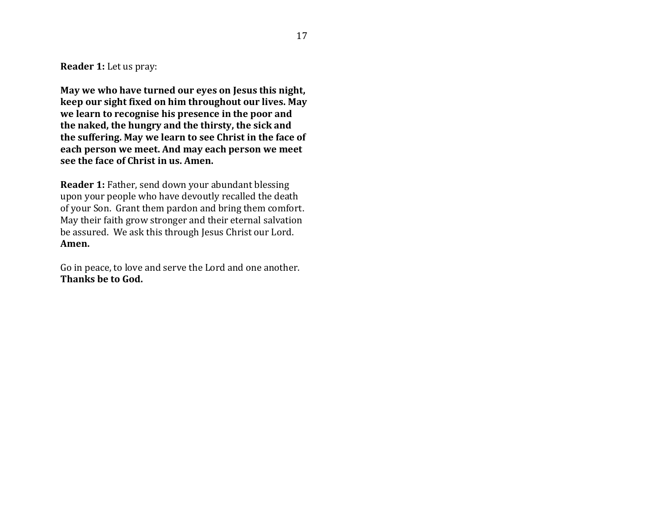**Reader 1:** Let us pray:

**May we who have turned our eyes on Jesus this night, keep our sight fixed on him throughout our lives. May we learn to recognise his presence in the poor and the naked, the hungry and the thirsty, the sick and the suffering. May we learn to see Christ in the face of each person we meet. And may each person we meet see the face of Christ in us. Amen.**

**Reader 1:** Father, send down your abundant blessing upon your people who have devoutly recalled the death of your Son. Grant them pardon and bring them comfort. May their faith grow stronger and their eternal salvation be assured. We ask this through Jesus Christ our Lord. **Amen.**

Go in peace, to love and serve the Lord and one another. **Thanks be to God.**